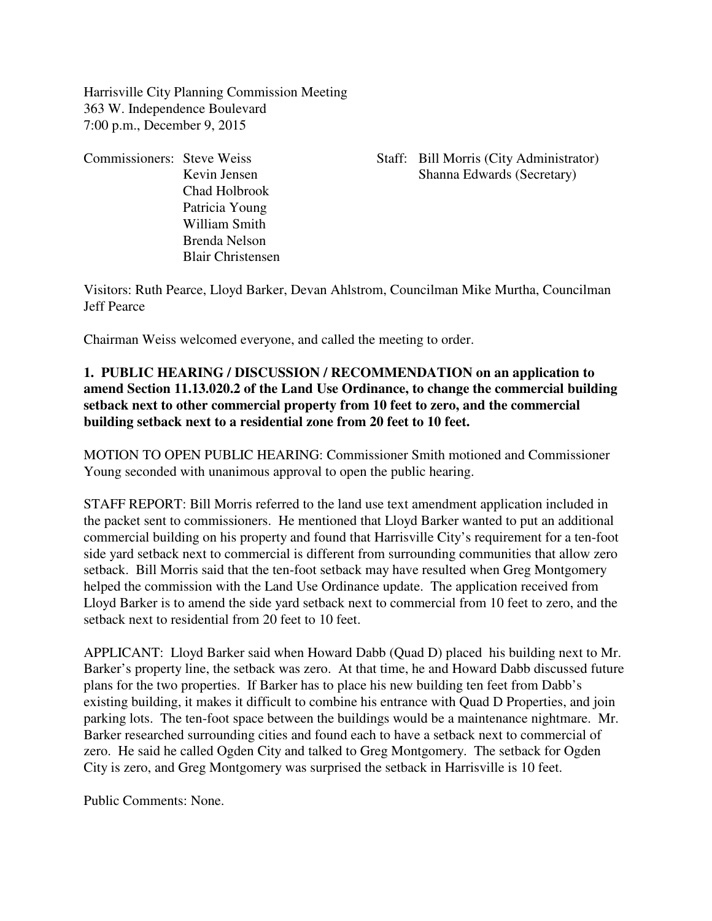Harrisville City Planning Commission Meeting 363 W. Independence Boulevard 7:00 p.m., December 9, 2015

Chad Holbrook Patricia Young William Smith Brenda Nelson Blair Christensen

Commissioners: Steve Weiss Staff: Bill Morris (City Administrator) Kevin Jensen Shanna Edwards (Secretary)

Visitors: Ruth Pearce, Lloyd Barker, Devan Ahlstrom, Councilman Mike Murtha, Councilman Jeff Pearce

Chairman Weiss welcomed everyone, and called the meeting to order.

# **1. PUBLIC HEARING / DISCUSSION / RECOMMENDATION on an application to amend Section 11.13.020.2 of the Land Use Ordinance, to change the commercial building setback next to other commercial property from 10 feet to zero, and the commercial building setback next to a residential zone from 20 feet to 10 feet.**

MOTION TO OPEN PUBLIC HEARING: Commissioner Smith motioned and Commissioner Young seconded with unanimous approval to open the public hearing.

STAFF REPORT: Bill Morris referred to the land use text amendment application included in the packet sent to commissioners. He mentioned that Lloyd Barker wanted to put an additional commercial building on his property and found that Harrisville City's requirement for a ten-foot side yard setback next to commercial is different from surrounding communities that allow zero setback. Bill Morris said that the ten-foot setback may have resulted when Greg Montgomery helped the commission with the Land Use Ordinance update. The application received from Lloyd Barker is to amend the side yard setback next to commercial from 10 feet to zero, and the setback next to residential from 20 feet to 10 feet.

APPLICANT: Lloyd Barker said when Howard Dabb (Quad D) placed his building next to Mr. Barker's property line, the setback was zero. At that time, he and Howard Dabb discussed future plans for the two properties. If Barker has to place his new building ten feet from Dabb's existing building, it makes it difficult to combine his entrance with Quad D Properties, and join parking lots. The ten-foot space between the buildings would be a maintenance nightmare. Mr. Barker researched surrounding cities and found each to have a setback next to commercial of zero. He said he called Ogden City and talked to Greg Montgomery. The setback for Ogden City is zero, and Greg Montgomery was surprised the setback in Harrisville is 10 feet.

Public Comments: None.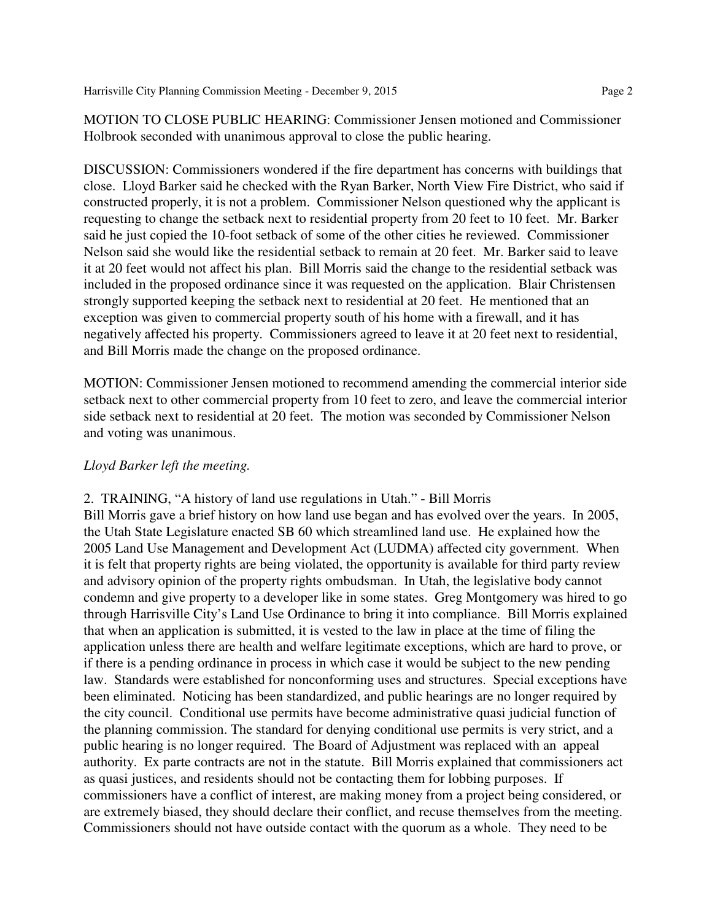MOTION TO CLOSE PUBLIC HEARING: Commissioner Jensen motioned and Commissioner Holbrook seconded with unanimous approval to close the public hearing.

DISCUSSION: Commissioners wondered if the fire department has concerns with buildings that close. Lloyd Barker said he checked with the Ryan Barker, North View Fire District, who said if constructed properly, it is not a problem. Commissioner Nelson questioned why the applicant is requesting to change the setback next to residential property from 20 feet to 10 feet. Mr. Barker said he just copied the 10-foot setback of some of the other cities he reviewed. Commissioner Nelson said she would like the residential setback to remain at 20 feet. Mr. Barker said to leave it at 20 feet would not affect his plan. Bill Morris said the change to the residential setback was included in the proposed ordinance since it was requested on the application. Blair Christensen strongly supported keeping the setback next to residential at 20 feet. He mentioned that an exception was given to commercial property south of his home with a firewall, and it has negatively affected his property. Commissioners agreed to leave it at 20 feet next to residential, and Bill Morris made the change on the proposed ordinance.

MOTION: Commissioner Jensen motioned to recommend amending the commercial interior side setback next to other commercial property from 10 feet to zero, and leave the commercial interior side setback next to residential at 20 feet. The motion was seconded by Commissioner Nelson and voting was unanimous.

#### *Lloyd Barker left the meeting.*

#### 2. TRAINING, "A history of land use regulations in Utah." - Bill Morris

Bill Morris gave a brief history on how land use began and has evolved over the years. In 2005, the Utah State Legislature enacted SB 60 which streamlined land use. He explained how the 2005 Land Use Management and Development Act (LUDMA) affected city government. When it is felt that property rights are being violated, the opportunity is available for third party review and advisory opinion of the property rights ombudsman. In Utah, the legislative body cannot condemn and give property to a developer like in some states. Greg Montgomery was hired to go through Harrisville City's Land Use Ordinance to bring it into compliance. Bill Morris explained that when an application is submitted, it is vested to the law in place at the time of filing the application unless there are health and welfare legitimate exceptions, which are hard to prove, or if there is a pending ordinance in process in which case it would be subject to the new pending law. Standards were established for nonconforming uses and structures. Special exceptions have been eliminated. Noticing has been standardized, and public hearings are no longer required by the city council. Conditional use permits have become administrative quasi judicial function of the planning commission. The standard for denying conditional use permits is very strict, and a public hearing is no longer required. The Board of Adjustment was replaced with an appeal authority. Ex parte contracts are not in the statute. Bill Morris explained that commissioners act as quasi justices, and residents should not be contacting them for lobbing purposes. If commissioners have a conflict of interest, are making money from a project being considered, or are extremely biased, they should declare their conflict, and recuse themselves from the meeting. Commissioners should not have outside contact with the quorum as a whole. They need to be